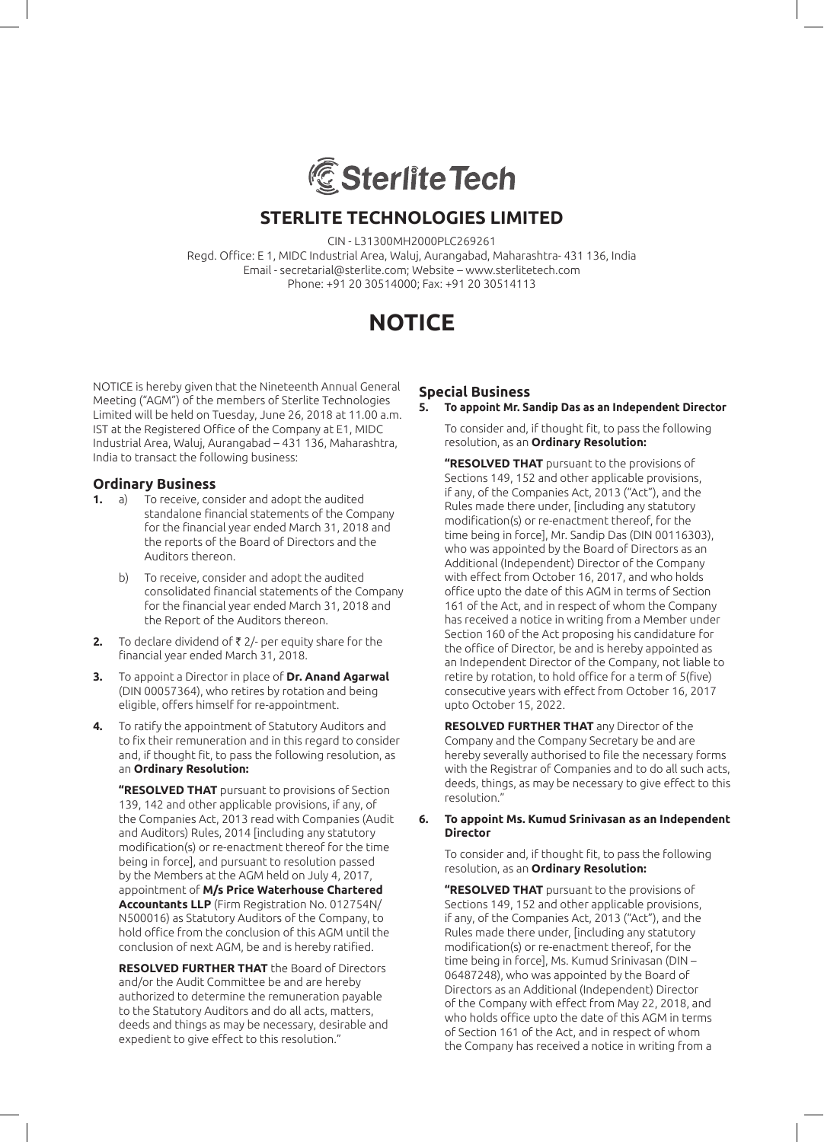

CIN - L31300MH2000PLC269261

Regd. Office: E 1, MIDC Industrial Area, Waluj, Aurangabad, Maharashtra- 431 136, India Email - secretarial@sterlite.com; Website – www.sterlitetech.com Phone: +91 20 30514000; Fax: +91 20 30514113

# **NOTICE**

NOTICE is hereby given that the Nineteenth Annual General Meeting ("AGM") of the members of Sterlite Technologies Limited will be held on Tuesday, June 26, 2018 at 11.00 a.m. IST at the Registered Office of the Company at E1, MIDC Industrial Area, Waluj, Aurangabad – 431 136, Maharashtra, India to transact the following business:

## **Ordinary Business**

- **1.** a) To receive, consider and adopt the audited standalone financial statements of the Company for the financial year ended March 31, 2018 and the reports of the Board of Directors and the Auditors thereon.
	- b) To receive, consider and adopt the audited consolidated financial statements of the Company for the financial year ended March 31, 2018 and the Report of the Auditors thereon.
- **2.** To declare dividend of ₹2/- per equity share for the financial year ended March 31, 2018.
- **3.** To appoint a Director in place of **Dr. Anand Agarwal** (DIN 00057364), who retires by rotation and being eligible, offers himself for re-appointment.
- **4.** To ratify the appointment of Statutory Auditors and to fix their remuneration and in this regard to consider and, if thought fit, to pass the following resolution, as an **Ordinary Resolution:**

**"RESOLVED THAT** pursuant to provisions of Section 139, 142 and other applicable provisions, if any, of the Companies Act, 2013 read with Companies (Audit and Auditors) Rules, 2014 [including any statutory modification(s) or re-enactment thereof for the time being in force], and pursuant to resolution passed by the Members at the AGM held on July 4, 2017, appointment of **M/s Price Waterhouse Chartered Accountants LLP** (Firm Registration No. 012754N/ N500016) as Statutory Auditors of the Company, to hold office from the conclusion of this AGM until the conclusion of next AGM, be and is hereby ratified.

 **RESOLVED FURTHER THAT** the Board of Directors and/or the Audit Committee be and are hereby authorized to determine the remuneration payable to the Statutory Auditors and do all acts, matters, deeds and things as may be necessary, desirable and expedient to give effect to this resolution."

## **Special Business**

#### **5. To appoint Mr. Sandip Das as an Independent Director**

To consider and, if thought fit, to pass the following resolution, as an **Ordinary Resolution:**

 **"RESOLVED THAT** pursuant to the provisions of Sections 149, 152 and other applicable provisions, if any, of the Companies Act, 2013 ("Act"), and the Rules made there under, [including any statutory modification(s) or re-enactment thereof, for the time being in force], Mr. Sandip Das (DIN 00116303), who was appointed by the Board of Directors as an Additional (Independent) Director of the Company with effect from October 16, 2017, and who holds office upto the date of this AGM in terms of Section 161 of the Act, and in respect of whom the Company has received a notice in writing from a Member under Section 160 of the Act proposing his candidature for the office of Director, be and is hereby appointed as an Independent Director of the Company, not liable to retire by rotation, to hold office for a term of 5(five) consecutive years with effect from October 16, 2017 upto October 15, 2022.

 **RESOLVED FURTHER THAT** any Director of the Company and the Company Secretary be and are hereby severally authorised to file the necessary forms with the Registrar of Companies and to do all such acts, deeds, things, as may be necessary to give effect to this resolution."

#### **6. To appoint Ms. Kumud Srinivasan as an Independent Director**

To consider and, if thought fit, to pass the following resolution, as an **Ordinary Resolution:**

**"RESOLVED THAT** pursuant to the provisions of Sections 149, 152 and other applicable provisions, if any, of the Companies Act, 2013 ("Act"), and the Rules made there under, [including any statutory modification(s) or re-enactment thereof, for the time being in force], Ms. Kumud Srinivasan (DIN – 06487248), who was appointed by the Board of Directors as an Additional (Independent) Director of the Company with effect from May 22, 2018, and who holds office upto the date of this AGM in terms of Section 161 of the Act, and in respect of whom the Company has received a notice in writing from a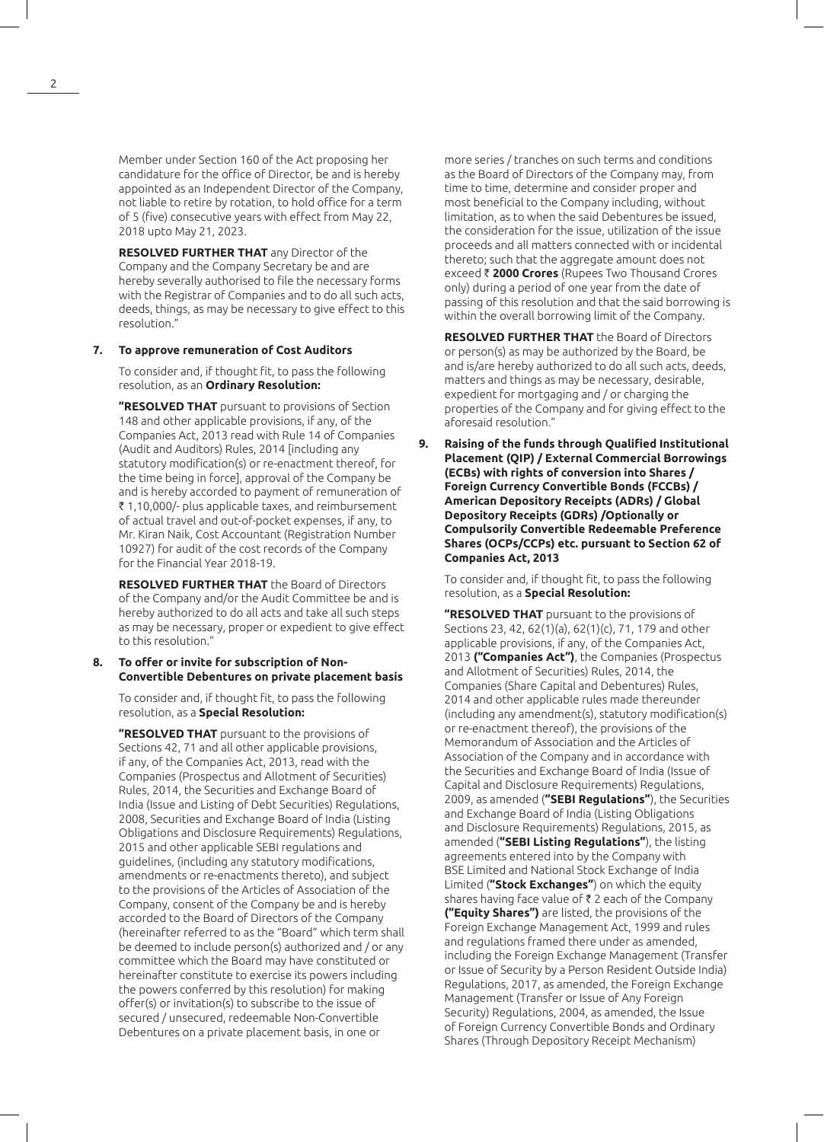Member under Section 160 of the Act proposing her candidature for the office of Director, be and is hereby appointed as an Independent Director of the Company, not liable to retire by rotation, to hold office for a term of 5 (five) consecutive years with effect from May 22, 2018 upto May 21, 2023.

 **RESOLVED FURTHER THAT** any Director of the Company and the Company Secretary be and are hereby severally authorised to file the necessary forms with the Registrar of Companies and to do all such acts, deeds, things, as may be necessary to give effect to this resolution."

#### **7. To approve remuneration of Cost Auditors**

To consider and, if thought fit, to pass the following resolution, as an **Ordinary Resolution:**

 **"RESOLVED THAT** pursuant to provisions of Section 148 and other applicable provisions, if any, of the Companies Act, 2013 read with Rule 14 of Companies (Audit and Auditors) Rules, 2014 [including any statutory modification(s) or re-enactment thereof, for the time being in force], approval of the Company be and is hereby accorded to payment of remuneration of ₹1,10,000/- plus applicable taxes, and reimbursement of actual travel and out-of-pocket expenses, if any, to Mr. Kiran Naik, Cost Accountant (Registration Number 10927) for audit of the cost records of the Company for the Financial Year 2018-19.

 **RESOLVED FURTHER THAT** the Board of Directors of the Company and/or the Audit Committee be and is hereby authorized to do all acts and take all such steps as may be necessary, proper or expedient to give effect to this resolution."

#### **8. To offer or invite for subscription of Non-Convertible Debentures on private placement basis**

To consider and, if thought fit, to pass the following resolution, as a **Special Resolution:**

 **"RESOLVED THAT** pursuant to the provisions of Sections 42, 71 and all other applicable provisions, if any, of the Companies Act, 2013, read with the Companies (Prospectus and Allotment of Securities) Rules, 2014, the Securities and Exchange Board of India (Issue and Listing of Debt Securities) Regulations, 2008, Securities and Exchange Board of India (Listing Obligations and Disclosure Requirements) Regulations, 2015 and other applicable SEBI regulations and guidelines, (including any statutory modifications, amendments or re-enactments thereto), and subject to the provisions of the Articles of Association of the Company, consent of the Company be and is hereby accorded to the Board of Directors of the Company (hereinafter referred to as the "Board" which term shall be deemed to include person(s) authorized and / or any committee which the Board may have constituted or hereinafter constitute to exercise its powers including the powers conferred by this resolution) for making offer(s) or invitation(s) to subscribe to the issue of secured / unsecured, redeemable Non-Convertible Debentures on a private placement basis, in one or

more series / tranches on such terms and conditions as the Board of Directors of the Company may, from time to time, determine and consider proper and most beneficial to the Company including, without limitation, as to when the said Debentures be issued, the consideration for the issue, utilization of the issue proceeds and all matters connected with or incidental thereto; such that the aggregate amount does not exceed ` **2000 Crores** (Rupees Two Thousand Crores only) during a period of one year from the date of passing of this resolution and that the said borrowing is within the overall borrowing limit of the Company.

 **RESOLVED FURTHER THAT** the Board of Directors or person(s) as may be authorized by the Board, be and is/are hereby authorized to do all such acts, deeds, matters and things as may be necessary, desirable, expedient for mortgaging and / or charging the properties of the Company and for giving effect to the aforesaid resolution."

**9. Raising of the funds through Qualified Institutional Placement (QIP) / External Commercial Borrowings (ECBs) with rights of conversion into Shares / Foreign Currency Convertible Bonds (FCCBs) / American Depository Receipts (ADRs) / Global Depository Receipts (GDRs) /Optionally or Compulsorily Convertible Redeemable Preference Shares (OCPs/CCPs) etc. pursuant to Section 62 of Companies Act, 2013**

To consider and, if thought fit, to pass the following resolution, as a **Special Resolution:**

 **"RESOLVED THAT** pursuant to the provisions of Sections 23, 42, 62(1)(a), 62(1)(c), 71, 179 and other applicable provisions, if any, of the Companies Act, 2013 **("Companies Act")**, the Companies (Prospectus and Allotment of Securities) Rules, 2014, the Companies (Share Capital and Debentures) Rules, 2014 and other applicable rules made thereunder (including any amendment(s), statutory modification(s) or re-enactment thereof), the provisions of the Memorandum of Association and the Articles of Association of the Company and in accordance with the Securities and Exchange Board of India (Issue of Capital and Disclosure Requirements) Regulations, 2009, as amended (**"SEBI Regulations"**), the Securities and Exchange Board of India (Listing Obligations and Disclosure Requirements) Regulations, 2015, as amended (**"SEBI Listing Regulations"**), the listing agreements entered into by the Company with BSE Limited and National Stock Exchange of India Limited (**"Stock Exchanges"**) on which the equity shares having face value of  $\bar{\tau}$  2 each of the Company **("Equity Shares")** are listed, the provisions of the Foreign Exchange Management Act, 1999 and rules and regulations framed there under as amended, including the Foreign Exchange Management (Transfer or Issue of Security by a Person Resident Outside India) Regulations, 2017, as amended, the Foreign Exchange Management (Transfer or Issue of Any Foreign Security) Regulations, 2004, as amended, the Issue of Foreign Currency Convertible Bonds and Ordinary Shares (Through Depository Receipt Mechanism)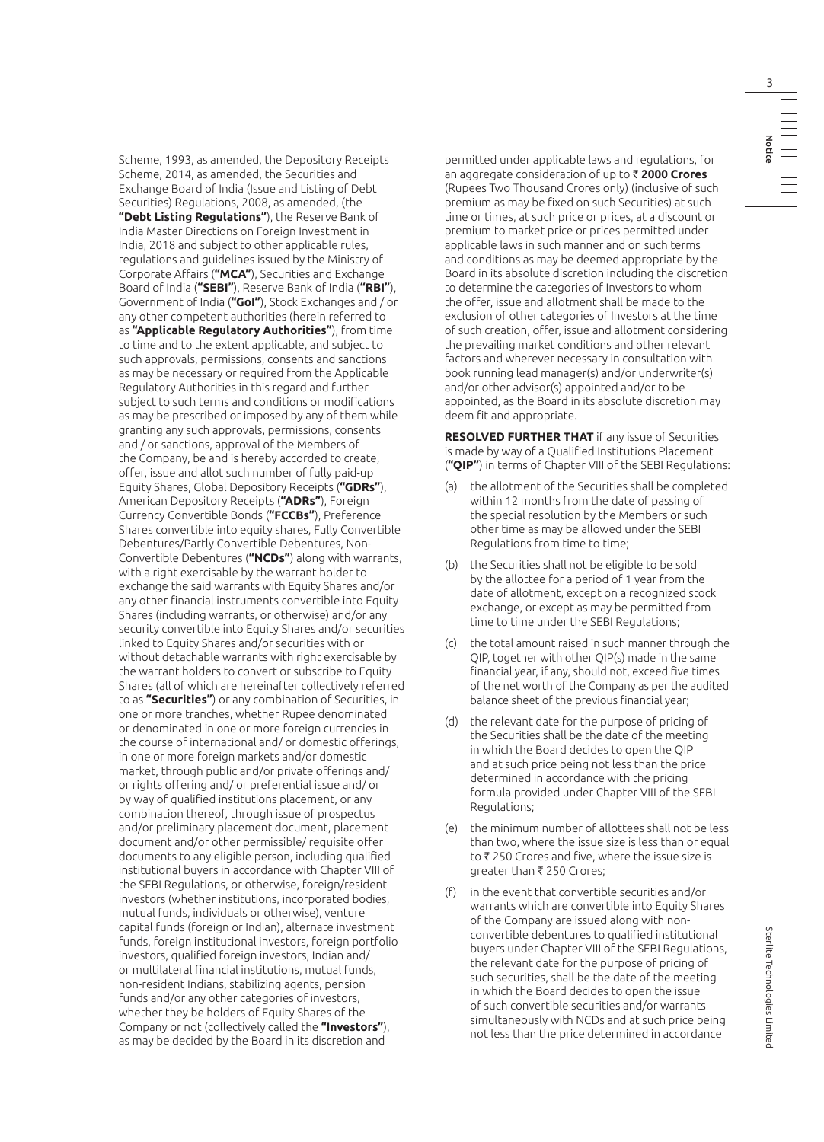Scheme, 1993, as amended, the Depository Receipts Scheme, 2014, as amended, the Securities and Exchange Board of India (Issue and Listing of Debt Securities) Regulations, 2008, as amended, (the **"Debt Listing Regulations"**), the Reserve Bank of India Master Directions on Foreign Investment in India, 2018 and subject to other applicable rules, regulations and guidelines issued by the Ministry of Corporate Affairs (**"MCA"**), Securities and Exchange Board of India (**"SEBI"**), Reserve Bank of India (**"RBI"**), Government of India (**"GoI"**), Stock Exchanges and / or any other competent authorities (herein referred to as **"Applicable Regulatory Authorities"**), from time to time and to the extent applicable, and subject to such approvals, permissions, consents and sanctions as may be necessary or required from the Applicable Regulatory Authorities in this regard and further subject to such terms and conditions or modifications as may be prescribed or imposed by any of them while granting any such approvals, permissions, consents and / or sanctions, approval of the Members of the Company, be and is hereby accorded to create, offer, issue and allot such number of fully paid-up Equity Shares, Global Depository Receipts (**"GDRs"**), American Depository Receipts (**"ADRs"**), Foreign Currency Convertible Bonds (**"FCCBs"**), Preference Shares convertible into equity shares, Fully Convertible Debentures/Partly Convertible Debentures, Non-Convertible Debentures (**"NCDs"**) along with warrants, with a right exercisable by the warrant holder to exchange the said warrants with Equity Shares and/or any other financial instruments convertible into Equity Shares (including warrants, or otherwise) and/or any security convertible into Equity Shares and/or securities linked to Equity Shares and/or securities with or without detachable warrants with right exercisable by the warrant holders to convert or subscribe to Equity Shares (all of which are hereinafter collectively referred to as **"Securities"**) or any combination of Securities, in one or more tranches, whether Rupee denominated or denominated in one or more foreign currencies in the course of international and/ or domestic offerings, in one or more foreign markets and/or domestic market, through public and/or private offerings and/ or rights offering and/ or preferential issue and/ or by way of qualified institutions placement, or any combination thereof, through issue of prospectus and/or preliminary placement document, placement document and/or other permissible/ requisite offer documents to any eligible person, including qualified institutional buyers in accordance with Chapter VIII of the SEBI Regulations, or otherwise, foreign/resident investors (whether institutions, incorporated bodies, mutual funds, individuals or otherwise), venture capital funds (foreign or Indian), alternate investment funds, foreign institutional investors, foreign portfolio investors, qualified foreign investors, Indian and/ or multilateral financial institutions, mutual funds, non-resident Indians, stabilizing agents, pension funds and/or any other categories of investors, whether they be holders of Equity Shares of the Company or not (collectively called the **"Investors"**), as may be decided by the Board in its discretion and

permitted under applicable laws and regulations, for an aggregate consideration of up to ` **2000 Crores** (Rupees Two Thousand Crores only) (inclusive of such premium as may be fixed on such Securities) at such time or times, at such price or prices, at a discount or premium to market price or prices permitted under applicable laws in such manner and on such terms and conditions as may be deemed appropriate by the Board in its absolute discretion including the discretion to determine the categories of Investors to whom the offer, issue and allotment shall be made to the exclusion of other categories of Investors at the time of such creation, offer, issue and allotment considering the prevailing market conditions and other relevant factors and wherever necessary in consultation with book running lead manager(s) and/or underwriter(s) and/or other advisor(s) appointed and/or to be appointed, as the Board in its absolute discretion may deem fit and appropriate.

 **RESOLVED FURTHER THAT** if any issue of Securities is made by way of a Qualified Institutions Placement (**"QIP"**) in terms of Chapter VIII of the SEBI Regulations:

- (a) the allotment of the Securities shall be completed within 12 months from the date of passing of the special resolution by the Members or such other time as may be allowed under the SEBI Regulations from time to time;
- (b) the Securities shall not be eligible to be sold by the allottee for a period of 1 year from the date of allotment, except on a recognized stock exchange, or except as may be permitted from time to time under the SEBI Regulations;
- (c) the total amount raised in such manner through the QIP, together with other QIP(s) made in the same financial year, if any, should not, exceed five times of the net worth of the Company as per the audited balance sheet of the previous financial year;
- (d) the relevant date for the purpose of pricing of the Securities shall be the date of the meeting in which the Board decides to open the QIP and at such price being not less than the price determined in accordance with the pricing formula provided under Chapter VIII of the SEBI Regulations;
- (e) the minimum number of allottees shall not be less than two, where the issue size is less than or equal to  $\bar{\tau}$  250 Crores and five, where the issue size is greater than  $\bar{\tau}$  250 Crores;
- (f) in the event that convertible securities and/or warrants which are convertible into Equity Shares of the Company are issued along with nonconvertible debentures to qualified institutional buyers under Chapter VIII of the SEBI Regulations, the relevant date for the purpose of pricing of such securities, shall be the date of the meeting in which the Board decides to open the issue of such convertible securities and/or warrants simultaneously with NCDs and at such price being not less than the price determined in accordance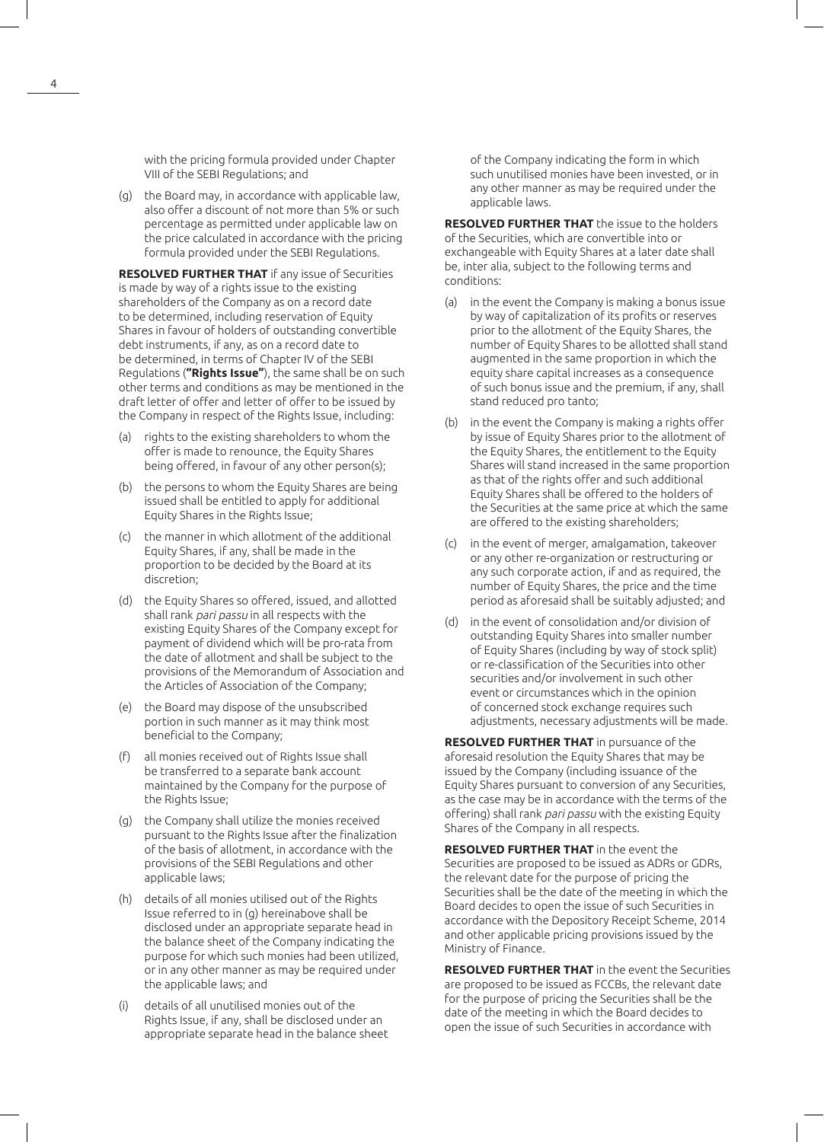with the pricing formula provided under Chapter VIII of the SEBI Regulations; and

(g) the Board may, in accordance with applicable law, also offer a discount of not more than 5% or such percentage as permitted under applicable law on the price calculated in accordance with the pricing formula provided under the SEBI Regulations.

 **RESOLVED FURTHER THAT** if any issue of Securities is made by way of a rights issue to the existing shareholders of the Company as on a record date to be determined, including reservation of Equity Shares in favour of holders of outstanding convertible debt instruments, if any, as on a record date to be determined, in terms of Chapter IV of the SEBI Regulations (**"Rights Issue"**), the same shall be on such other terms and conditions as may be mentioned in the draft letter of offer and letter of offer to be issued by the Company in respect of the Rights Issue, including:

- rights to the existing shareholders to whom the offer is made to renounce, the Equity Shares being offered, in favour of any other person(s);
- (b) the persons to whom the Equity Shares are being issued shall be entitled to apply for additional Equity Shares in the Rights Issue;
- (c) the manner in which allotment of the additional Equity Shares, if any, shall be made in the proportion to be decided by the Board at its discretion;
- (d) the Equity Shares so offered, issued, and allotted shall rank pari passu in all respects with the existing Equity Shares of the Company except for payment of dividend which will be pro-rata from the date of allotment and shall be subject to the provisions of the Memorandum of Association and the Articles of Association of the Company;
- (e) the Board may dispose of the unsubscribed portion in such manner as it may think most beneficial to the Company;
- all monies received out of Rights Issue shall be transferred to a separate bank account maintained by the Company for the purpose of the Rights Issue;
- (g) the Company shall utilize the monies received pursuant to the Rights Issue after the finalization of the basis of allotment, in accordance with the provisions of the SEBI Regulations and other applicable laws;
- (h) details of all monies utilised out of the Rights Issue referred to in (g) hereinabove shall be disclosed under an appropriate separate head in the balance sheet of the Company indicating the purpose for which such monies had been utilized, or in any other manner as may be required under the applicable laws; and
- (i) details of all unutilised monies out of the Rights Issue, if any, shall be disclosed under an appropriate separate head in the balance sheet

of the Company indicating the form in which such unutilised monies have been invested, or in any other manner as may be required under the applicable laws.

 **RESOLVED FURTHER THAT** the issue to the holders of the Securities, which are convertible into or exchangeable with Equity Shares at a later date shall be, inter alia, subject to the following terms and conditions:

- (a) in the event the Company is making a bonus issue by way of capitalization of its profits or reserves prior to the allotment of the Equity Shares, the number of Equity Shares to be allotted shall stand augmented in the same proportion in which the equity share capital increases as a consequence of such bonus issue and the premium, if any, shall stand reduced pro tanto;
- (b) in the event the Company is making a rights offer by issue of Equity Shares prior to the allotment of the Equity Shares, the entitlement to the Equity Shares will stand increased in the same proportion as that of the rights offer and such additional Equity Shares shall be offered to the holders of the Securities at the same price at which the same are offered to the existing shareholders;
- (c) in the event of merger, amalgamation, takeover or any other re-organization or restructuring or any such corporate action, if and as required, the number of Equity Shares, the price and the time period as aforesaid shall be suitably adjusted; and
- (d) in the event of consolidation and/or division of outstanding Equity Shares into smaller number of Equity Shares (including by way of stock split) or re-classification of the Securities into other securities and/or involvement in such other event or circumstances which in the opinion of concerned stock exchange requires such adjustments, necessary adjustments will be made.

 **RESOLVED FURTHER THAT** in pursuance of the aforesaid resolution the Equity Shares that may be issued by the Company (including issuance of the Equity Shares pursuant to conversion of any Securities, as the case may be in accordance with the terms of the offering) shall rank pari passu with the existing Equity Shares of the Company in all respects.

 **RESOLVED FURTHER THAT** in the event the Securities are proposed to be issued as ADRs or GDRs, the relevant date for the purpose of pricing the Securities shall be the date of the meeting in which the Board decides to open the issue of such Securities in accordance with the Depository Receipt Scheme, 2014 and other applicable pricing provisions issued by the Ministry of Finance.

 **RESOLVED FURTHER THAT** in the event the Securities are proposed to be issued as FCCBs, the relevant date for the purpose of pricing the Securities shall be the date of the meeting in which the Board decides to open the issue of such Securities in accordance with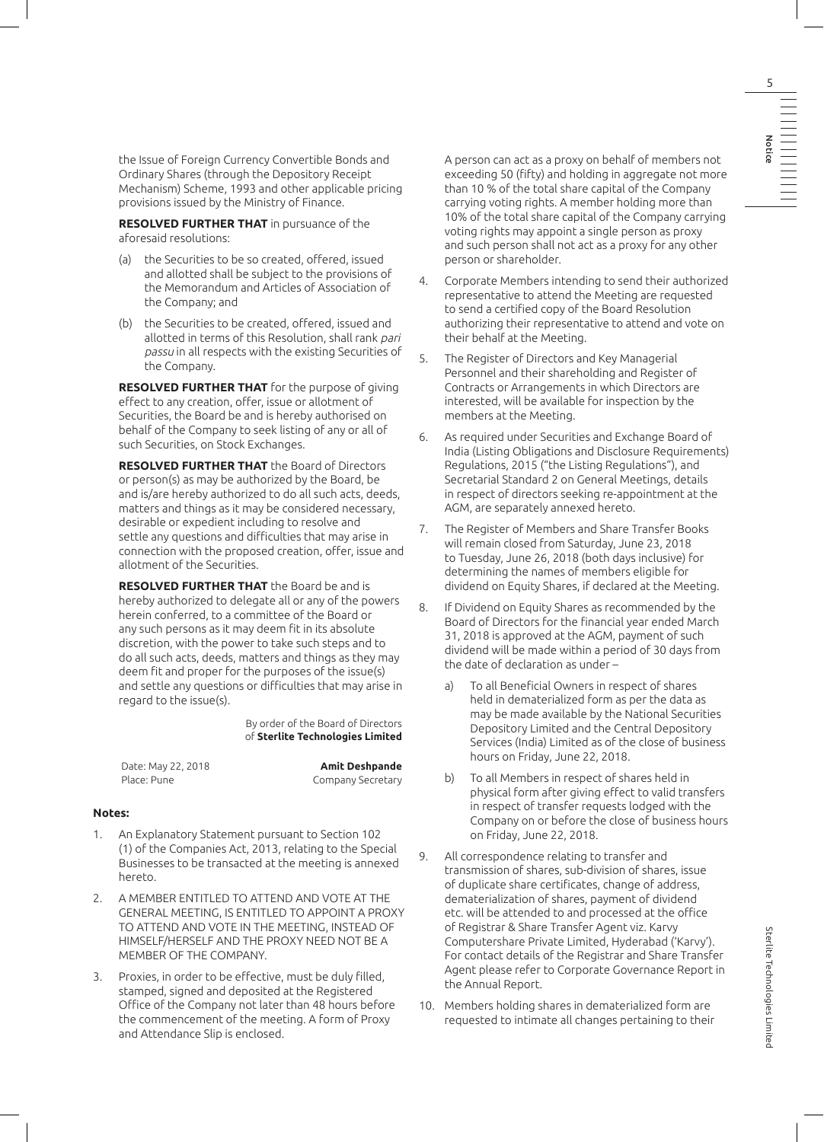the Issue of Foreign Currency Convertible Bonds and Ordinary Shares (through the Depository Receipt Mechanism) Scheme, 1993 and other applicable pricing provisions issued by the Ministry of Finance.

 **RESOLVED FURTHER THAT** in pursuance of the aforesaid resolutions:

- (a) the Securities to be so created, offered, issued and allotted shall be subject to the provisions of the Memorandum and Articles of Association of the Company; and
- (b) the Securities to be created, offered, issued and allotted in terms of this Resolution, shall rank pari passu in all respects with the existing Securities of the Company.

 **RESOLVED FURTHER THAT** for the purpose of giving effect to any creation, offer, issue or allotment of Securities, the Board be and is hereby authorised on behalf of the Company to seek listing of any or all of such Securities, on Stock Exchanges.

 **RESOLVED FURTHER THAT** the Board of Directors or person(s) as may be authorized by the Board, be and is/are hereby authorized to do all such acts, deeds, matters and things as it may be considered necessary, desirable or expedient including to resolve and settle any questions and difficulties that may arise in connection with the proposed creation, offer, issue and allotment of the Securities.

 **RESOLVED FURTHER THAT** the Board be and is hereby authorized to delegate all or any of the powers herein conferred, to a committee of the Board or any such persons as it may deem fit in its absolute discretion, with the power to take such steps and to do all such acts, deeds, matters and things as they may deem fit and proper for the purposes of the issue(s) and settle any questions or difficulties that may arise in regard to the issue(s).

> By order of the Board of Directors of **Sterlite Technologies Limited**

Date: May 22, 2018 **Amit Deshpande**

Place: Pune Company Secretary

#### **Notes:**

- 1. An Explanatory Statement pursuant to Section 102 (1) of the Companies Act, 2013, relating to the Special Businesses to be transacted at the meeting is annexed hereto.
- 2. A MEMBER ENTITLED TO ATTEND AND VOTE AT THE GENERAL MEETING, IS ENTITLED TO APPOINT A PROXY TO ATTEND AND VOTE IN THE MEETING, INSTEAD OF HIMSELF/HERSELF AND THE PROXY NEED NOT BE A MEMBER OF THE COMPANY.
- 3. Proxies, in order to be effective, must be duly filled, stamped, signed and deposited at the Registered Office of the Company not later than 48 hours before the commencement of the meeting. A form of Proxy and Attendance Slip is enclosed.

A person can act as a proxy on behalf of members not exceeding 50 (fifty) and holding in aggregate not more than 10 % of the total share capital of the Company carrying voting rights. A member holding more than 10% of the total share capital of the Company carrying voting rights may appoint a single person as proxy and such person shall not act as a proxy for any other person or shareholder.

- 4. Corporate Members intending to send their authorized representative to attend the Meeting are requested to send a certified copy of the Board Resolution authorizing their representative to attend and vote on their behalf at the Meeting.
- 5. The Register of Directors and Key Managerial Personnel and their shareholding and Register of Contracts or Arrangements in which Directors are interested, will be available for inspection by the members at the Meeting.
- 6. As required under Securities and Exchange Board of India (Listing Obligations and Disclosure Requirements) Regulations, 2015 ("the Listing Regulations"), and Secretarial Standard 2 on General Meetings, details in respect of directors seeking re-appointment at the AGM, are separately annexed hereto.
- 7. The Register of Members and Share Transfer Books will remain closed from Saturday, June 23, 2018 to Tuesday, June 26, 2018 (both days inclusive) for determining the names of members eligible for dividend on Equity Shares, if declared at the Meeting.
- 8. If Dividend on Equity Shares as recommended by the Board of Directors for the financial year ended March 31, 2018 is approved at the AGM, payment of such dividend will be made within a period of 30 days from the date of declaration as under –
	- a) To all Beneficial Owners in respect of shares held in dematerialized form as per the data as may be made available by the National Securities Depository Limited and the Central Depository Services (India) Limited as of the close of business hours on Friday, June 22, 2018.
	- b) To all Members in respect of shares held in physical form after giving effect to valid transfers in respect of transfer requests lodged with the Company on or before the close of business hours on Friday, June 22, 2018.
- 9. All correspondence relating to transfer and transmission of shares, sub-division of shares, issue of duplicate share certificates, change of address, dematerialization of shares, payment of dividend etc. will be attended to and processed at the office of Registrar & Share Transfer Agent viz. Karvy Computershare Private Limited, Hyderabad ('Karvy'). For contact details of the Registrar and Share Transfer Agent please refer to Corporate Governance Report in the Annual Report.
- 10. Members holding shares in dematerialized form are requested to intimate all changes pertaining to their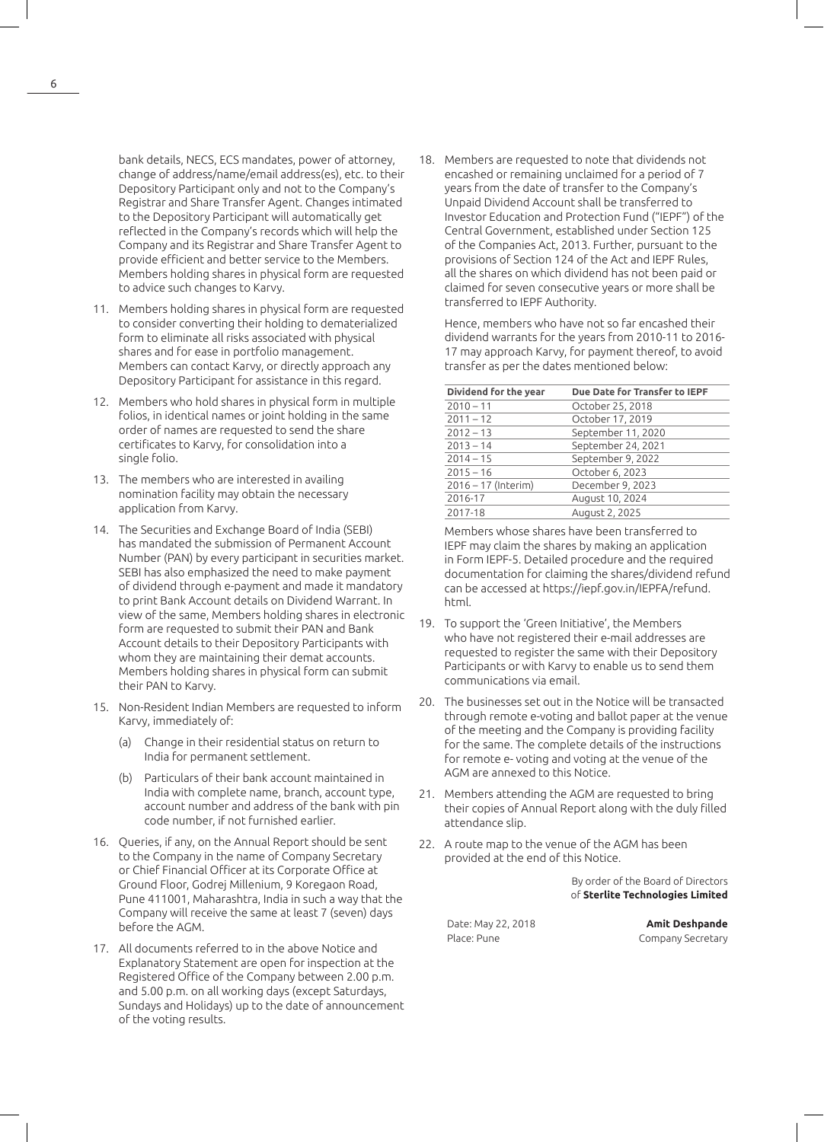bank details, NECS, ECS mandates, power of attorney, change of address/name/email address(es), etc. to their Depository Participant only and not to the Company's Registrar and Share Transfer Agent. Changes intimated to the Depository Participant will automatically get reflected in the Company's records which will help the Company and its Registrar and Share Transfer Agent to provide efficient and better service to the Members. Members holding shares in physical form are requested to advice such changes to Karvy.

- 11. Members holding shares in physical form are requested to consider converting their holding to dematerialized form to eliminate all risks associated with physical shares and for ease in portfolio management. Members can contact Karvy, or directly approach any Depository Participant for assistance in this regard.
- 12. Members who hold shares in physical form in multiple folios, in identical names or joint holding in the same order of names are requested to send the share certificates to Karvy, for consolidation into a single folio.
- 13. The members who are interested in availing nomination facility may obtain the necessary application from Karvy.
- 14. The Securities and Exchange Board of India (SEBI) has mandated the submission of Permanent Account Number (PAN) by every participant in securities market. SEBI has also emphasized the need to make payment of dividend through e-payment and made it mandatory to print Bank Account details on Dividend Warrant. In view of the same, Members holding shares in electronic form are requested to submit their PAN and Bank Account details to their Depository Participants with whom they are maintaining their demat accounts. Members holding shares in physical form can submit their PAN to Karvy.
- 15. Non-Resident Indian Members are requested to inform Karvy, immediately of:
	- (a) Change in their residential status on return to India for permanent settlement.
	- (b) Particulars of their bank account maintained in India with complete name, branch, account type, account number and address of the bank with pin code number, if not furnished earlier.
- 16. Queries, if any, on the Annual Report should be sent to the Company in the name of Company Secretary or Chief Financial Officer at its Corporate Office at Ground Floor, Godrej Millenium, 9 Koregaon Road, Pune 411001, Maharashtra, India in such a way that the Company will receive the same at least 7 (seven) days before the AGM.
- 17. All documents referred to in the above Notice and Explanatory Statement are open for inspection at the Registered Office of the Company between 2.00 p.m. and 5.00 p.m. on all working days (except Saturdays, Sundays and Holidays) up to the date of announcement of the voting results.

18. Members are requested to note that dividends not encashed or remaining unclaimed for a period of 7 years from the date of transfer to the Company's Unpaid Dividend Account shall be transferred to Investor Education and Protection Fund ("IEPF") of the Central Government, established under Section 125 of the Companies Act, 2013. Further, pursuant to the provisions of Section 124 of the Act and IEPF Rules, all the shares on which dividend has not been paid or claimed for seven consecutive years or more shall be transferred to IEPF Authority.

Hence, members who have not so far encashed their dividend warrants for the years from 2010-11 to 2016- 17 may approach Karvy, for payment thereof, to avoid transfer as per the dates mentioned below:

| Dividend for the year | Due Date for Transfer to IEPF |
|-----------------------|-------------------------------|
| $2010 - 11$           | October 25, 2018              |
| $2011 - 12$           | October 17, 2019              |
| $2012 - 13$           | September 11, 2020            |
| $2013 - 14$           | September 24, 2021            |
| $2014 - 15$           | September 9, 2022             |
| $2015 - 16$           | October 6, 2023               |
| $2016 - 17$ (Interim) | December 9, 2023              |
| 2016-17               | August 10, 2024               |
| 2017-18               | August 2, 2025                |

Members whose shares have been transferred to IEPF may claim the shares by making an application in Form IEPF-5. Detailed procedure and the required documentation for claiming the shares/dividend refund can be accessed at https://iepf.gov.in/IEPFA/refund. html.

- 19. To support the 'Green Initiative', the Members who have not registered their e-mail addresses are requested to register the same with their Depository Participants or with Karvy to enable us to send them communications via email.
- 20. The businesses set out in the Notice will be transacted through remote e-voting and ballot paper at the venue of the meeting and the Company is providing facility for the same. The complete details of the instructions for remote e- voting and voting at the venue of the AGM are annexed to this Notice.
- 21. Members attending the AGM are requested to bring their copies of Annual Report along with the duly filled attendance slip.
- 22. A route map to the venue of the AGM has been provided at the end of this Notice.

By order of the Board of Directors of **Sterlite Technologies Limited**

Place: Pune **Company Secretary** 

Date: May 22, 2018 **Amit Deshpande**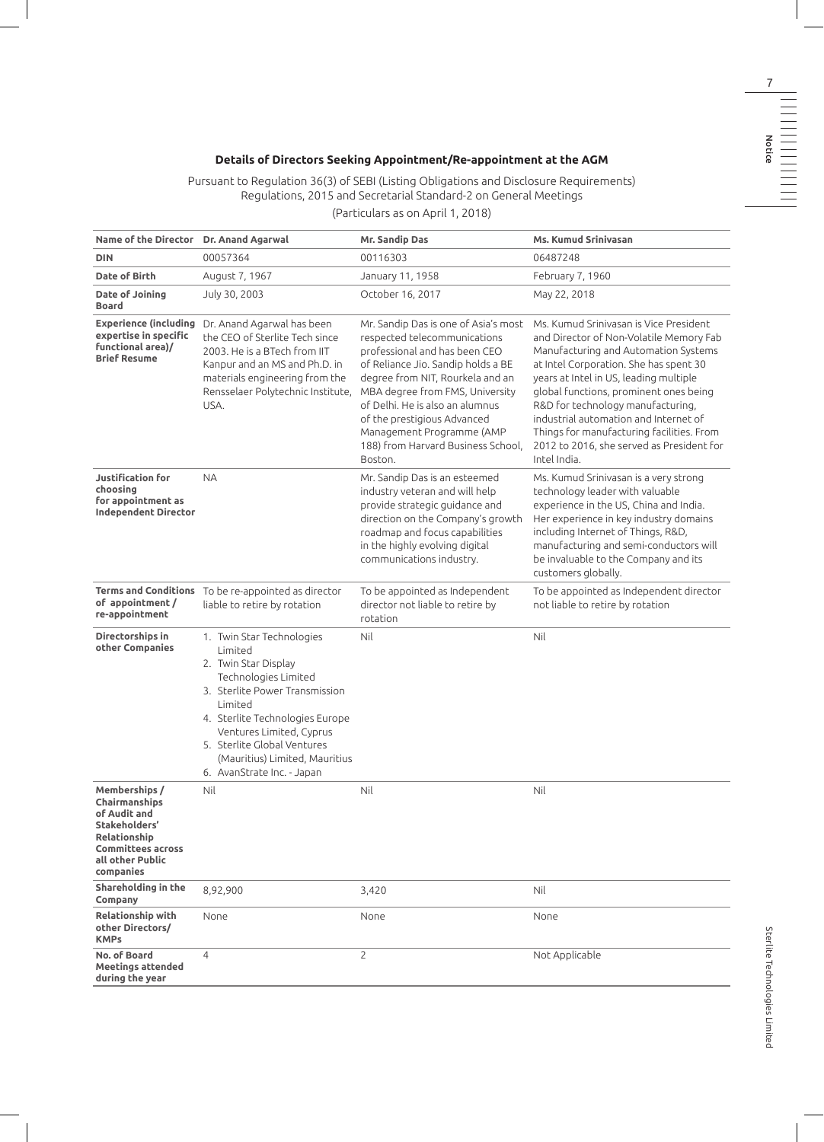### **Details of Directors Seeking Appointment/Re-appointment at the AGM**

Pursuant to Regulation 36(3) of SEBI (Listing Obligations and Disclosure Requirements) Regulations, 2015 and Secretarial Standard-2 on General Meetings

#### (Particulars as on April 1, 2018)

| Name of the Director Dr. Anand Agarwal                                                                                                                                                                                                                                                          | Mr. Sandip Das                                                                                                                                                                                                                                                                                                                                                     | <b>Ms. Kumud Srinivasan</b>                                                                                                                                                                                                                                                                                                                                                                                                                     |
|-------------------------------------------------------------------------------------------------------------------------------------------------------------------------------------------------------------------------------------------------------------------------------------------------|--------------------------------------------------------------------------------------------------------------------------------------------------------------------------------------------------------------------------------------------------------------------------------------------------------------------------------------------------------------------|-------------------------------------------------------------------------------------------------------------------------------------------------------------------------------------------------------------------------------------------------------------------------------------------------------------------------------------------------------------------------------------------------------------------------------------------------|
| 00057364                                                                                                                                                                                                                                                                                        | 00116303                                                                                                                                                                                                                                                                                                                                                           | 06487248                                                                                                                                                                                                                                                                                                                                                                                                                                        |
| August 7, 1967                                                                                                                                                                                                                                                                                  | January 11, 1958                                                                                                                                                                                                                                                                                                                                                   | February 7, 1960                                                                                                                                                                                                                                                                                                                                                                                                                                |
| July 30, 2003                                                                                                                                                                                                                                                                                   | October 16, 2017                                                                                                                                                                                                                                                                                                                                                   | May 22, 2018                                                                                                                                                                                                                                                                                                                                                                                                                                    |
| Dr. Anand Agarwal has been<br>the CEO of Sterlite Tech since<br>2003. He is a BTech from IIT<br>Kanpur and an MS and Ph.D. in<br>materials engineering from the<br>Rensselaer Polytechnic Institute,<br>USA.                                                                                    | Mr. Sandip Das is one of Asia's most<br>respected telecommunications<br>professional and has been CEO<br>of Reliance Jio. Sandip holds a BE<br>degree from NIT, Rourkela and an<br>MBA degree from FMS, University<br>of Delhi. He is also an alumnus<br>of the prestigious Advanced<br>Management Programme (AMP<br>188) from Harvard Business School,<br>Boston. | Ms. Kumud Srinivasan is Vice President<br>and Director of Non-Volatile Memory Fab<br>Manufacturing and Automation Systems<br>at Intel Corporation. She has spent 30<br>years at Intel in US, leading multiple<br>global functions, prominent ones being<br>R&D for technology manufacturing,<br>industrial automation and Internet of<br>Things for manufacturing facilities. From<br>2012 to 2016, she served as President for<br>Intel India. |
| <b>NA</b>                                                                                                                                                                                                                                                                                       | Mr. Sandip Das is an esteemed<br>industry veteran and will help<br>provide strategic guidance and<br>direction on the Company's growth<br>roadmap and focus capabilities<br>in the highly evolving digital<br>communications industry.                                                                                                                             | Ms. Kumud Srinivasan is a very strong<br>technology leader with valuable<br>experience in the US, China and India.<br>Her experience in key industry domains<br>including Internet of Things, R&D,<br>manufacturing and semi-conductors will<br>be invaluable to the Company and its<br>customers globally.                                                                                                                                     |
| To be re-appointed as director<br>liable to retire by rotation                                                                                                                                                                                                                                  | To be appointed as Independent<br>director not liable to retire by<br>rotation                                                                                                                                                                                                                                                                                     | To be appointed as Independent director<br>not liable to retire by rotation                                                                                                                                                                                                                                                                                                                                                                     |
| 1. Twin Star Technologies<br>Limited<br>2. Twin Star Display<br>Technologies Limited<br>3. Sterlite Power Transmission<br>Limited<br>4. Sterlite Technologies Europe<br>Ventures Limited, Cyprus<br>5. Sterlite Global Ventures<br>(Mauritius) Limited, Mauritius<br>6. AvanStrate Inc. - Japan | Nil                                                                                                                                                                                                                                                                                                                                                                | Nil                                                                                                                                                                                                                                                                                                                                                                                                                                             |
| Nil                                                                                                                                                                                                                                                                                             | Nil                                                                                                                                                                                                                                                                                                                                                                | Nil                                                                                                                                                                                                                                                                                                                                                                                                                                             |
| 8,92,900                                                                                                                                                                                                                                                                                        | 3,420                                                                                                                                                                                                                                                                                                                                                              | Nil                                                                                                                                                                                                                                                                                                                                                                                                                                             |
| None                                                                                                                                                                                                                                                                                            | None                                                                                                                                                                                                                                                                                                                                                               | None                                                                                                                                                                                                                                                                                                                                                                                                                                            |
| $\overline{4}$                                                                                                                                                                                                                                                                                  | 2                                                                                                                                                                                                                                                                                                                                                                  | Not Applicable                                                                                                                                                                                                                                                                                                                                                                                                                                  |
|                                                                                                                                                                                                                                                                                                 |                                                                                                                                                                                                                                                                                                                                                                    |                                                                                                                                                                                                                                                                                                                                                                                                                                                 |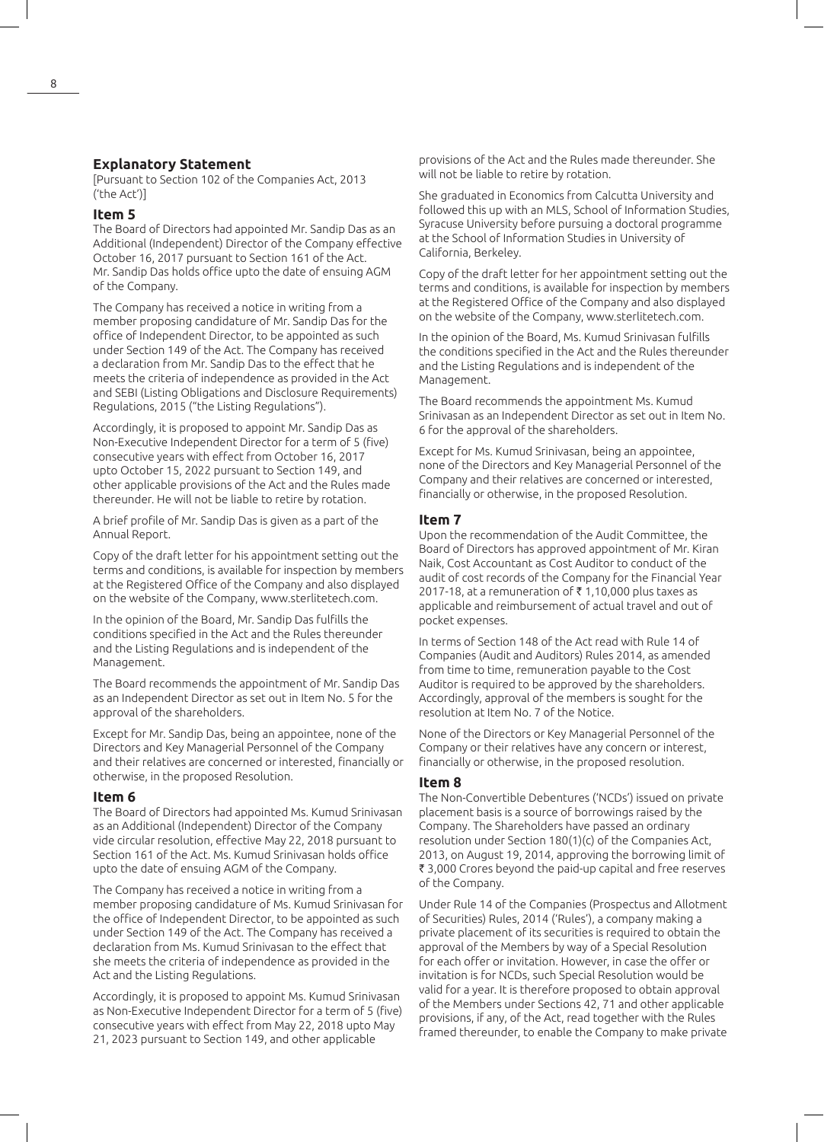#### **Explanatory Statement**

[Pursuant to Section 102 of the Companies Act, 2013 ('the Act')]

#### **Item 5**

The Board of Directors had appointed Mr. Sandip Das as an Additional (Independent) Director of the Company effective October 16, 2017 pursuant to Section 161 of the Act. Mr. Sandip Das holds office upto the date of ensuing AGM of the Company.

The Company has received a notice in writing from a member proposing candidature of Mr. Sandip Das for the office of Independent Director, to be appointed as such under Section 149 of the Act. The Company has received a declaration from Mr. Sandip Das to the effect that he meets the criteria of independence as provided in the Act and SEBI (Listing Obligations and Disclosure Requirements) Regulations, 2015 ("the Listing Regulations").

Accordingly, it is proposed to appoint Mr. Sandip Das as Non-Executive Independent Director for a term of 5 (five) consecutive years with effect from October 16, 2017 upto October 15, 2022 pursuant to Section 149, and other applicable provisions of the Act and the Rules made thereunder. He will not be liable to retire by rotation.

A brief profile of Mr. Sandip Das is given as a part of the Annual Report.

Copy of the draft letter for his appointment setting out the terms and conditions, is available for inspection by members at the Registered Office of the Company and also displayed on the website of the Company, www.sterlitetech.com.

In the opinion of the Board, Mr. Sandip Das fulfills the conditions specified in the Act and the Rules thereunder and the Listing Regulations and is independent of the Management.

The Board recommends the appointment of Mr. Sandip Das as an Independent Director as set out in Item No. 5 for the approval of the shareholders.

Except for Mr. Sandip Das, being an appointee, none of the Directors and Key Managerial Personnel of the Company and their relatives are concerned or interested, financially or otherwise, in the proposed Resolution.

#### **Item 6**

The Board of Directors had appointed Ms. Kumud Srinivasan as an Additional (Independent) Director of the Company vide circular resolution, effective May 22, 2018 pursuant to Section 161 of the Act. Ms. Kumud Srinivasan holds office upto the date of ensuing AGM of the Company.

The Company has received a notice in writing from a member proposing candidature of Ms. Kumud Srinivasan for the office of Independent Director, to be appointed as such under Section 149 of the Act. The Company has received a declaration from Ms. Kumud Srinivasan to the effect that she meets the criteria of independence as provided in the Act and the Listing Regulations.

Accordingly, it is proposed to appoint Ms. Kumud Srinivasan as Non-Executive Independent Director for a term of 5 (five) consecutive years with effect from May 22, 2018 upto May 21, 2023 pursuant to Section 149, and other applicable

provisions of the Act and the Rules made thereunder. She will not be liable to retire by rotation.

She graduated in Economics from Calcutta University and followed this up with an MLS, School of Information Studies, Syracuse University before pursuing a doctoral programme at the School of Information Studies in University of California, Berkeley.

Copy of the draft letter for her appointment setting out the terms and conditions, is available for inspection by members at the Registered Office of the Company and also displayed on the website of the Company, www.sterlitetech.com.

In the opinion of the Board, Ms. Kumud Srinivasan fulfills the conditions specified in the Act and the Rules thereunder and the Listing Regulations and is independent of the Management.

The Board recommends the appointment Ms. Kumud Srinivasan as an Independent Director as set out in Item No. 6 for the approval of the shareholders.

Except for Ms. Kumud Srinivasan, being an appointee, none of the Directors and Key Managerial Personnel of the Company and their relatives are concerned or interested, financially or otherwise, in the proposed Resolution.

#### **Item 7**

Upon the recommendation of the Audit Committee, the Board of Directors has approved appointment of Mr. Kiran Naik, Cost Accountant as Cost Auditor to conduct of the audit of cost records of the Company for the Financial Year 2017-18, at a remuneration of  $\bar{\tau}$  1,10,000 plus taxes as applicable and reimbursement of actual travel and out of pocket expenses.

In terms of Section 148 of the Act read with Rule 14 of Companies (Audit and Auditors) Rules 2014, as amended from time to time, remuneration payable to the Cost Auditor is required to be approved by the shareholders. Accordingly, approval of the members is sought for the resolution at Item No. 7 of the Notice.

None of the Directors or Key Managerial Personnel of the Company or their relatives have any concern or interest, financially or otherwise, in the proposed resolution.

#### **Item 8**

The Non-Convertible Debentures ('NCDs') issued on private placement basis is a source of borrowings raised by the Company. The Shareholders have passed an ordinary resolution under Section 180(1)(c) of the Companies Act, 2013, on August 19, 2014, approving the borrowing limit of ₹ 3,000 Crores beyond the paid-up capital and free reserves of the Company.

Under Rule 14 of the Companies (Prospectus and Allotment of Securities) Rules, 2014 ('Rules'), a company making a private placement of its securities is required to obtain the approval of the Members by way of a Special Resolution for each offer or invitation. However, in case the offer or invitation is for NCDs, such Special Resolution would be valid for a year. It is therefore proposed to obtain approval of the Members under Sections 42, 71 and other applicable provisions, if any, of the Act, read together with the Rules framed thereunder, to enable the Company to make private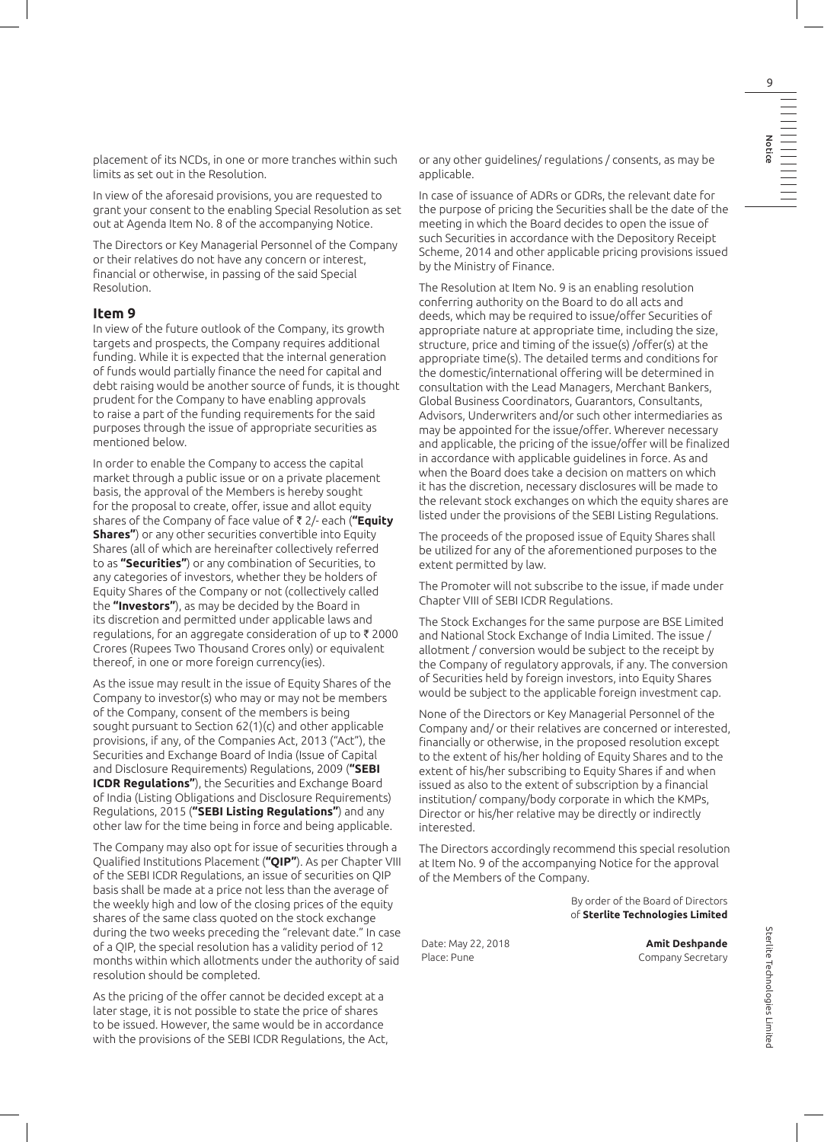placement of its NCDs, in one or more tranches within such limits as set out in the Resolution.

In view of the aforesaid provisions, you are requested to grant your consent to the enabling Special Resolution as set out at Agenda Item No. 8 of the accompanying Notice.

The Directors or Key Managerial Personnel of the Company or their relatives do not have any concern or interest, financial or otherwise, in passing of the said Special Resolution.

#### **Item 9**

In view of the future outlook of the Company, its growth targets and prospects, the Company requires additional funding. While it is expected that the internal generation of funds would partially finance the need for capital and debt raising would be another source of funds, it is thought prudent for the Company to have enabling approvals to raise a part of the funding requirements for the said purposes through the issue of appropriate securities as mentioned below.

In order to enable the Company to access the capital market through a public issue or on a private placement basis, the approval of the Members is hereby sought for the proposal to create, offer, issue and allot equity shares of the Company of face value of ` 2/- each (**"Equity Shares"**) or any other securities convertible into Equity Shares (all of which are hereinafter collectively referred to as **"Securities"**) or any combination of Securities, to any categories of investors, whether they be holders of Equity Shares of the Company or not (collectively called the **"Investors"**), as may be decided by the Board in its discretion and permitted under applicable laws and regulations, for an aggregate consideration of up to  $\bar{\tau}$  2000 Crores (Rupees Two Thousand Crores only) or equivalent thereof, in one or more foreign currency(ies).

As the issue may result in the issue of Equity Shares of the Company to investor(s) who may or may not be members of the Company, consent of the members is being sought pursuant to Section 62(1)(c) and other applicable provisions, if any, of the Companies Act, 2013 ("Act"), the Securities and Exchange Board of India (Issue of Capital and Disclosure Requirements) Regulations, 2009 (**"SEBI ICDR Regulations"**), the Securities and Exchange Board of India (Listing Obligations and Disclosure Requirements) Regulations, 2015 (**"SEBI Listing Regulations"**) and any other law for the time being in force and being applicable.

The Company may also opt for issue of securities through a Qualified Institutions Placement (**"QIP"**). As per Chapter VIII of the SEBI ICDR Regulations, an issue of securities on QIP basis shall be made at a price not less than the average of the weekly high and low of the closing prices of the equity shares of the same class quoted on the stock exchange during the two weeks preceding the "relevant date." In case of a QIP, the special resolution has a validity period of 12 months within which allotments under the authority of said resolution should be completed.

As the pricing of the offer cannot be decided except at a later stage, it is not possible to state the price of shares to be issued. However, the same would be in accordance with the provisions of the SEBI ICDR Regulations, the Act,

or any other guidelines/ regulations / consents, as may be applicable.

In case of issuance of ADRs or GDRs, the relevant date for the purpose of pricing the Securities shall be the date of the meeting in which the Board decides to open the issue of such Securities in accordance with the Depository Receipt Scheme, 2014 and other applicable pricing provisions issued by the Ministry of Finance.

The Resolution at Item No. 9 is an enabling resolution conferring authority on the Board to do all acts and deeds, which may be required to issue/offer Securities of appropriate nature at appropriate time, including the size, structure, price and timing of the issue(s) /offer(s) at the appropriate time(s). The detailed terms and conditions for the domestic/international offering will be determined in consultation with the Lead Managers, Merchant Bankers, Global Business Coordinators, Guarantors, Consultants, Advisors, Underwriters and/or such other intermediaries as may be appointed for the issue/offer. Wherever necessary and applicable, the pricing of the issue/offer will be finalized in accordance with applicable guidelines in force. As and when the Board does take a decision on matters on which it has the discretion, necessary disclosures will be made to the relevant stock exchanges on which the equity shares are listed under the provisions of the SEBI Listing Regulations.

The proceeds of the proposed issue of Equity Shares shall be utilized for any of the aforementioned purposes to the extent permitted by law.

The Promoter will not subscribe to the issue, if made under Chapter VIII of SEBI ICDR Regulations.

The Stock Exchanges for the same purpose are BSE Limited and National Stock Exchange of India Limited. The issue / allotment / conversion would be subject to the receipt by the Company of regulatory approvals, if any. The conversion of Securities held by foreign investors, into Equity Shares would be subject to the applicable foreign investment cap.

None of the Directors or Key Managerial Personnel of the Company and/ or their relatives are concerned or interested, financially or otherwise, in the proposed resolution except to the extent of his/her holding of Equity Shares and to the extent of his/her subscribing to Equity Shares if and when issued as also to the extent of subscription by a financial institution/ company/body corporate in which the KMPs, Director or his/her relative may be directly or indirectly interested.

The Directors accordingly recommend this special resolution at Item No. 9 of the accompanying Notice for the approval of the Members of the Company.

> By order of the Board of Directors of **Sterlite Technologies Limited**

Date: May 22, 2018 **Amit Deshpande** Place: Pune Company Secretary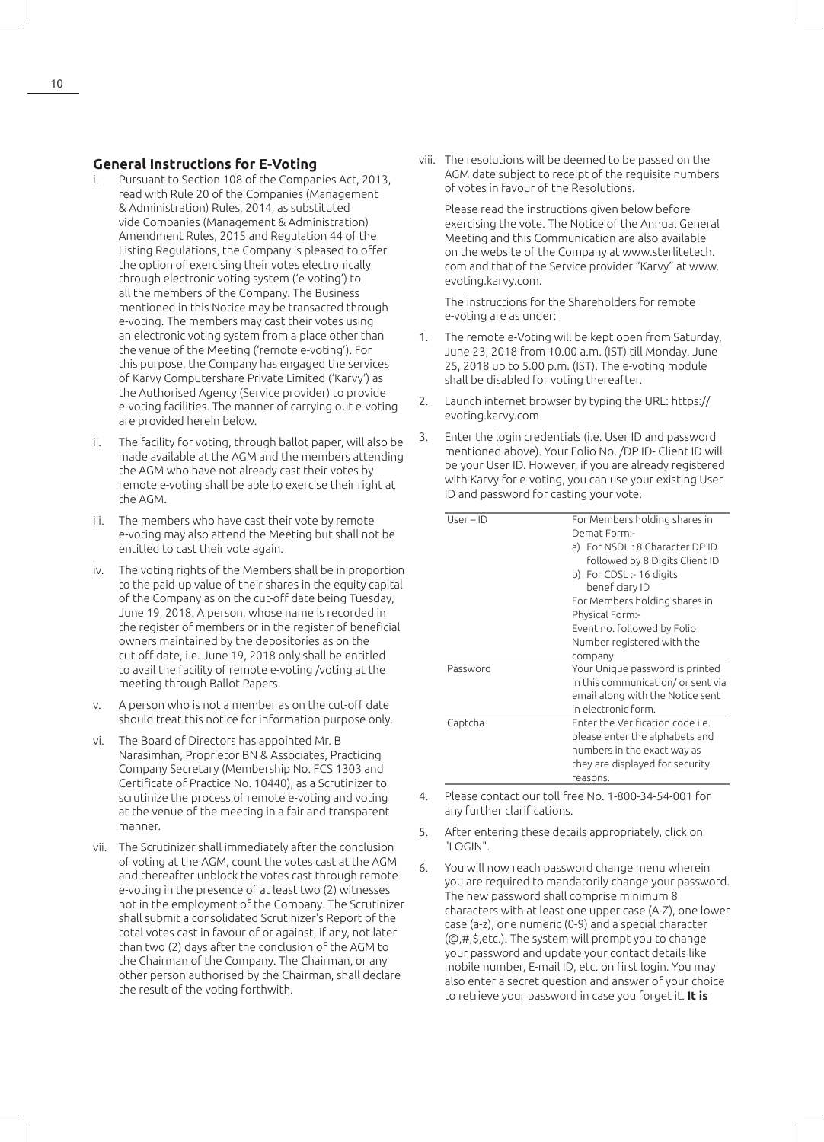#### **General Instructions for E-Voting**

- Pursuant to Section 108 of the Companies Act, 2013, read with Rule 20 of the Companies (Management & Administration) Rules, 2014, as substituted vide Companies (Management & Administration) Amendment Rules, 2015 and Regulation 44 of the Listing Regulations, the Company is pleased to offer the option of exercising their votes electronically through electronic voting system ('e-voting') to all the members of the Company. The Business mentioned in this Notice may be transacted through e-voting. The members may cast their votes using an electronic voting system from a place other than the venue of the Meeting ('remote e-voting'). For this purpose, the Company has engaged the services of Karvy Computershare Private Limited ('Karvy') as the Authorised Agency (Service provider) to provide e-voting facilities. The manner of carrying out e-voting are provided herein below.
- ii. The facility for voting, through ballot paper, will also be made available at the AGM and the members attending the AGM who have not already cast their votes by remote e-voting shall be able to exercise their right at the AGM.
- iii. The members who have cast their vote by remote e-voting may also attend the Meeting but shall not be entitled to cast their vote again.
- iv. The voting rights of the Members shall be in proportion to the paid-up value of their shares in the equity capital of the Company as on the cut-off date being Tuesday, June 19, 2018. A person, whose name is recorded in the register of members or in the register of beneficial owners maintained by the depositories as on the cut-off date, i.e. June 19, 2018 only shall be entitled to avail the facility of remote e-voting /voting at the meeting through Ballot Papers.
- v. A person who is not a member as on the cut-off date should treat this notice for information purpose only.
- vi. The Board of Directors has appointed Mr. B Narasimhan, Proprietor BN & Associates, Practicing Company Secretary (Membership No. FCS 1303 and Certificate of Practice No. 10440), as a Scrutinizer to scrutinize the process of remote e-voting and voting at the venue of the meeting in a fair and transparent manner.
- vii. The Scrutinizer shall immediately after the conclusion of voting at the AGM, count the votes cast at the AGM and thereafter unblock the votes cast through remote e-voting in the presence of at least two (2) witnesses not in the employment of the Company. The Scrutinizer shall submit a consolidated Scrutinizer's Report of the total votes cast in favour of or against, if any, not later than two (2) days after the conclusion of the AGM to the Chairman of the Company. The Chairman, or any other person authorised by the Chairman, shall declare the result of the voting forthwith.

viii. The resolutions will be deemed to be passed on the AGM date subject to receipt of the requisite numbers of votes in favour of the Resolutions.

Please read the instructions given below before exercising the vote. The Notice of the Annual General Meeting and this Communication are also available on the website of the Company at www.sterlitetech. com and that of the Service provider "Karvy" at www. evoting.karvy.com.

The instructions for the Shareholders for remote e-voting are as under:

- 1. The remote e-Voting will be kept open from Saturday, June 23, 2018 from 10.00 a.m. (IST) till Monday, June 25, 2018 up to 5.00 p.m. (IST). The e-voting module shall be disabled for voting thereafter.
- 2. Launch internet browser by typing the URL: https:// evoting.karvy.com
- 3. Enter the login credentials (i.e. User ID and password mentioned above). Your Folio No. /DP ID- Client ID will be your User ID. However, if you are already registered with Karvy for e-voting, you can use your existing User ID and password for casting your vote.

| $User-ID$ | For Members holding shares in<br>Demat Form:-<br>a) For NSDL: 8 Character DP ID<br>followed by 8 Digits Client ID<br>b) For CDSL :- 16 digits<br>beneficiary ID<br>For Members holding shares in<br><b>Physical Form:-</b><br>Event no. followed by Folio<br>Number registered with the<br>company |
|-----------|----------------------------------------------------------------------------------------------------------------------------------------------------------------------------------------------------------------------------------------------------------------------------------------------------|
| Password  | Your Unique password is printed<br>in this communication/ or sent via<br>email along with the Notice sent<br>in electronic form.                                                                                                                                                                   |
| Captcha   | Enter the Verification code i.e.<br>please enter the alphabets and<br>numbers in the exact way as<br>they are displayed for security<br>reasons.                                                                                                                                                   |

- 4. Please contact our toll free No. 1-800-34-54-001 for any further clarifications.
- 5. After entering these details appropriately, click on "LOGIN".
- 6. You will now reach password change menu wherein you are required to mandatorily change your password. The new password shall comprise minimum 8 characters with at least one upper case (A-Z), one lower case (a-z), one numeric (0-9) and a special character (@,#,\$,etc.). The system will prompt you to change your password and update your contact details like mobile number, E-mail ID, etc. on first login. You may also enter a secret question and answer of your choice to retrieve your password in case you forget it. **It is**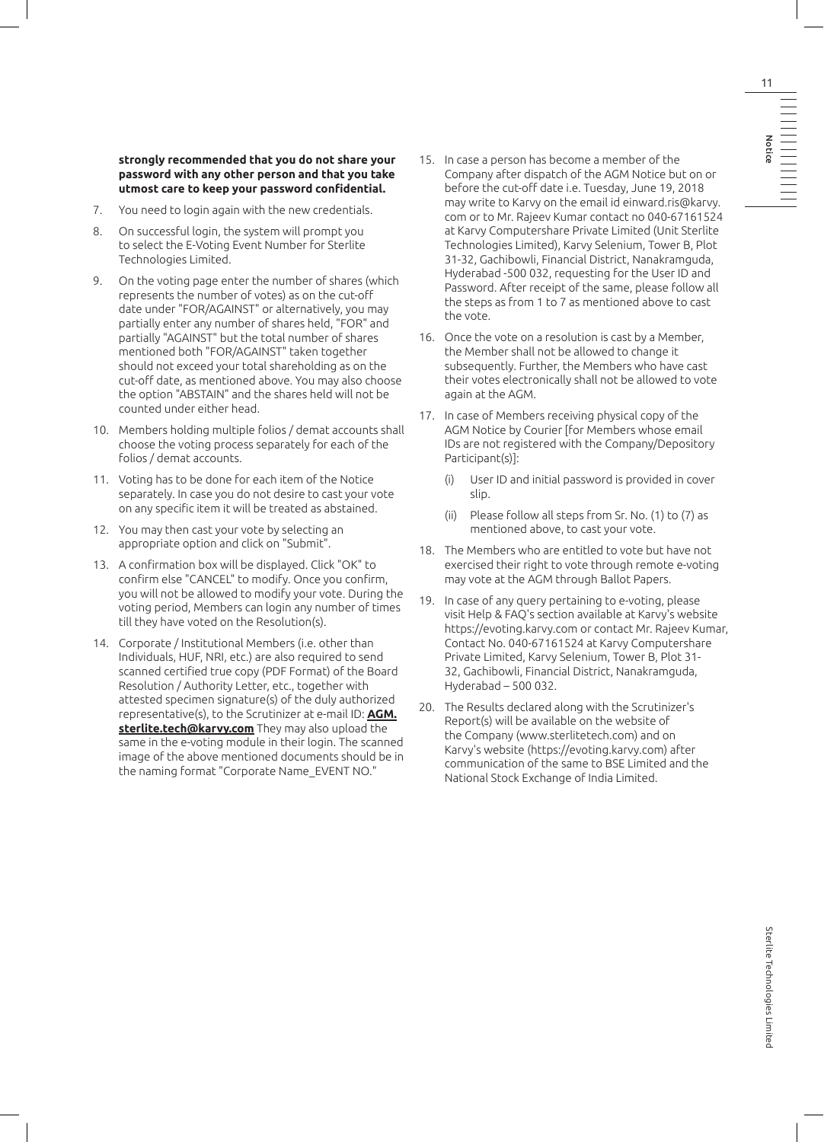**strongly recommended that you do not share your password with any other person and that you take utmost care to keep your password confidential.**

- 7. You need to login again with the new credentials.
- 8. On successful login, the system will prompt you to select the E-Voting Event Number for Sterlite Technologies Limited.
- 9. On the voting page enter the number of shares (which represents the number of votes) as on the cut-off date under "FOR/AGAINST" or alternatively, you may partially enter any number of shares held, "FOR" and partially "AGAINST" but the total number of shares mentioned both "FOR/AGAINST" taken together should not exceed your total shareholding as on the cut-off date, as mentioned above. You may also choose the option "ABSTAIN" and the shares held will not be counted under either head.
- 10. Members holding multiple folios / demat accounts shall choose the voting process separately for each of the folios / demat accounts.
- 11. Voting has to be done for each item of the Notice separately. In case you do not desire to cast your vote on any specific item it will be treated as abstained.
- 12. You may then cast your vote by selecting an appropriate option and click on "Submit".
- 13. A confirmation box will be displayed. Click "OK" to confirm else "CANCEL" to modify. Once you confirm, you will not be allowed to modify your vote. During the voting period, Members can login any number of times till they have voted on the Resolution(s).
- 14. Corporate / Institutional Members (i.e. other than Individuals, HUF, NRI, etc.) are also required to send scanned certified true copy (PDF Format) of the Board Resolution / Authority Letter, etc., together with attested specimen signature(s) of the duly authorized representative(s), to the Scrutinizer at e-mail ID: **AGM. sterlite.tech@karvy.com** They may also upload the same in the e-voting module in their login. The scanned image of the above mentioned documents should be in the naming format "Corporate Name\_EVENT NO."
- 15. In case a person has become a member of the Company after dispatch of the AGM Notice but on or before the cut-off date i.e. Tuesday, June 19, 2018 may write to Karvy on the email id einward.ris@karvy. com or to Mr. Rajeev Kumar contact no 040-67161524 at Karvy Computershare Private Limited (Unit Sterlite Technologies Limited), Karvy Selenium, Tower B, Plot 31-32, Gachibowli, Financial District, Nanakramguda, Hyderabad -500 032, requesting for the User ID and Password. After receipt of the same, please follow all the steps as from 1 to 7 as mentioned above to cast the vote.
- 16. Once the vote on a resolution is cast by a Member, the Member shall not be allowed to change it subsequently. Further, the Members who have cast their votes electronically shall not be allowed to vote again at the AGM.
- 17. In case of Members receiving physical copy of the AGM Notice by Courier [for Members whose email IDs are not registered with the Company/Depository Participant(s)]:
	- (i) User ID and initial password is provided in cover slip.
	- (ii) Please follow all steps from Sr. No. (1) to (7) as mentioned above, to cast your vote.
- 18. The Members who are entitled to vote but have not exercised their right to vote through remote e-voting may vote at the AGM through Ballot Papers.
- 19. In case of any query pertaining to e-voting, please visit Help & FAQ's section available at Karvy's website https://evoting.karvy.com or contact Mr. Rajeev Kumar, Contact No. 040-67161524 at Karvy Computershare Private Limited, Karvy Selenium, Tower B, Plot 31- 32, Gachibowli, Financial District, Nanakramguda, Hyderabad – 500 032.
- 20. The Results declared along with the Scrutinizer's Report(s) will be available on the website of the Company (www.sterlitetech.com) and on Karvy's website (https://evoting.karvy.com) after communication of the same to BSE Limited and the National Stock Exchange of India Limited.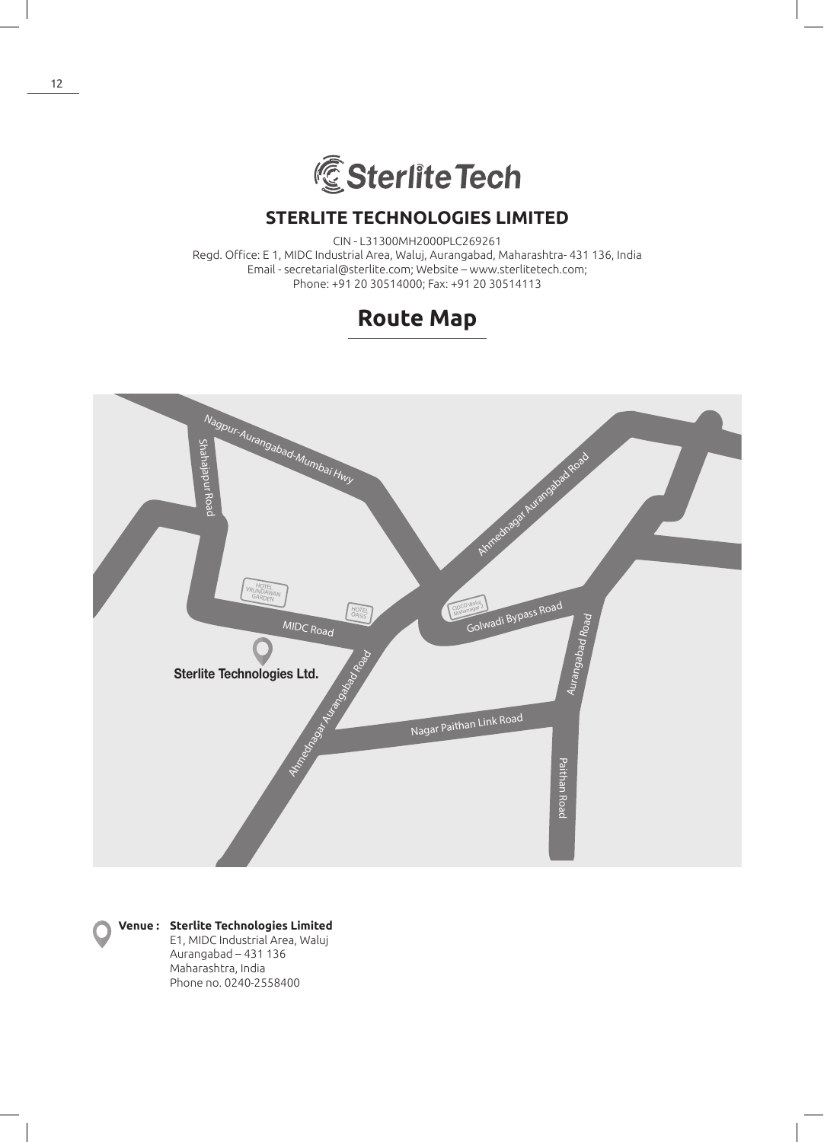

CIN - L31300MH2000PLC269261 Regd. Office: E 1, MIDC Industrial Area, Waluj, Aurangabad, Maharashtra- 431 136, India Email - secretarial@sterlite.com; Website – www.sterlitetech.com; Phone: +91 20 30514000; Fax: +91 20 30514113





## **Venue : Sterlite Technologies Limited**

E1, MIDC Industrial Area, Waluj Aurangabad – 431 136 Maharashtra, India Phone no. 0240-2558400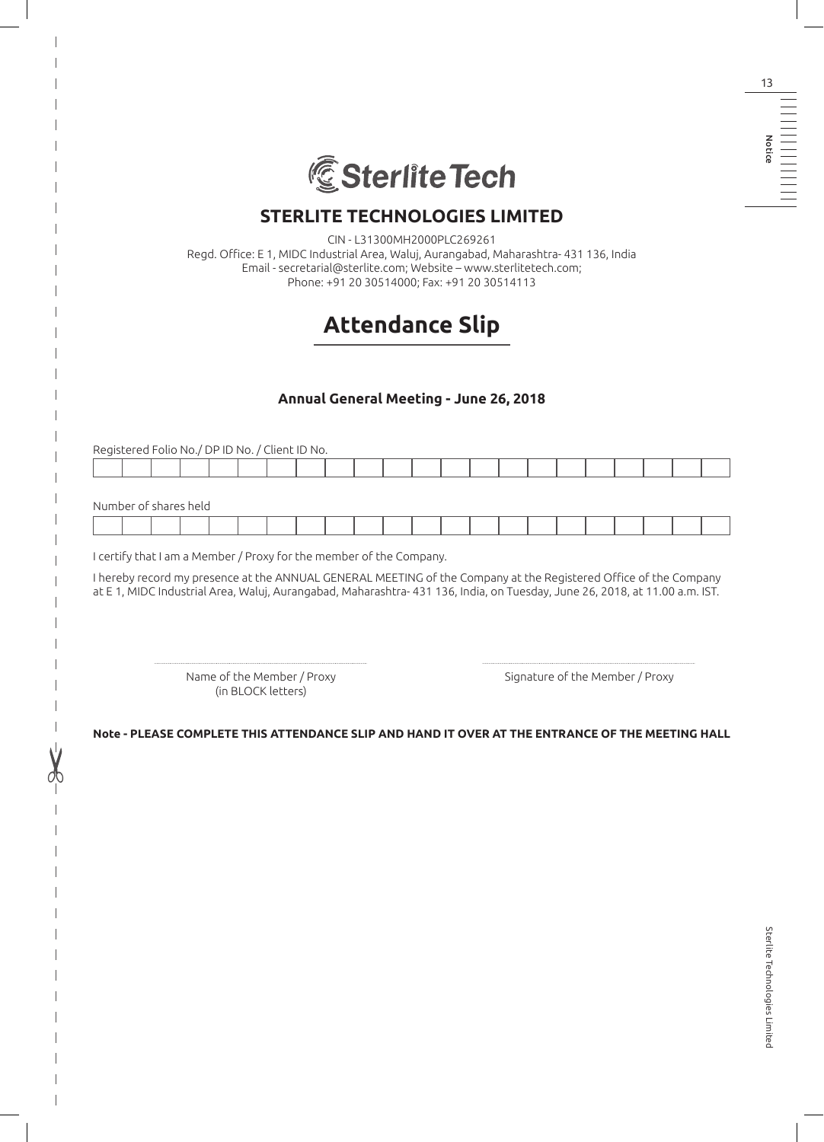

CIN - L31300MH2000PLC269261

Regd. Office: E 1, MIDC Industrial Area, Waluj, Aurangabad, Maharashtra- 431 136, India Email - secretarial@sterlite.com; Website – www.sterlitetech.com; Phone: +91 20 30514000; Fax: +91 20 30514113

# **Attendance Slip**

## **Annual General Meeting - June 26, 2018**

Registered Folio No./ DP ID No. / Client ID No. Number of shares held

I certify that I am a Member / Proxy for the member of the Company.

I hereby record my presence at the ANNUAL GENERAL MEETING of the Company at the Registered Office of the Company at E 1, MIDC Industrial Area, Waluj, Aurangabad, Maharashtra- 431 136, India, on Tuesday, June 26, 2018, at 11.00 a.m. IST.

(in BLOCK letters)

Name of the Member / Proxy Signature of the Member / Proxy

**Note - PLEASE COMPLETE THIS ATTENDANCE SLIP AND HAND IT OVER AT THE ENTRANCE OF THE MEETING HALL**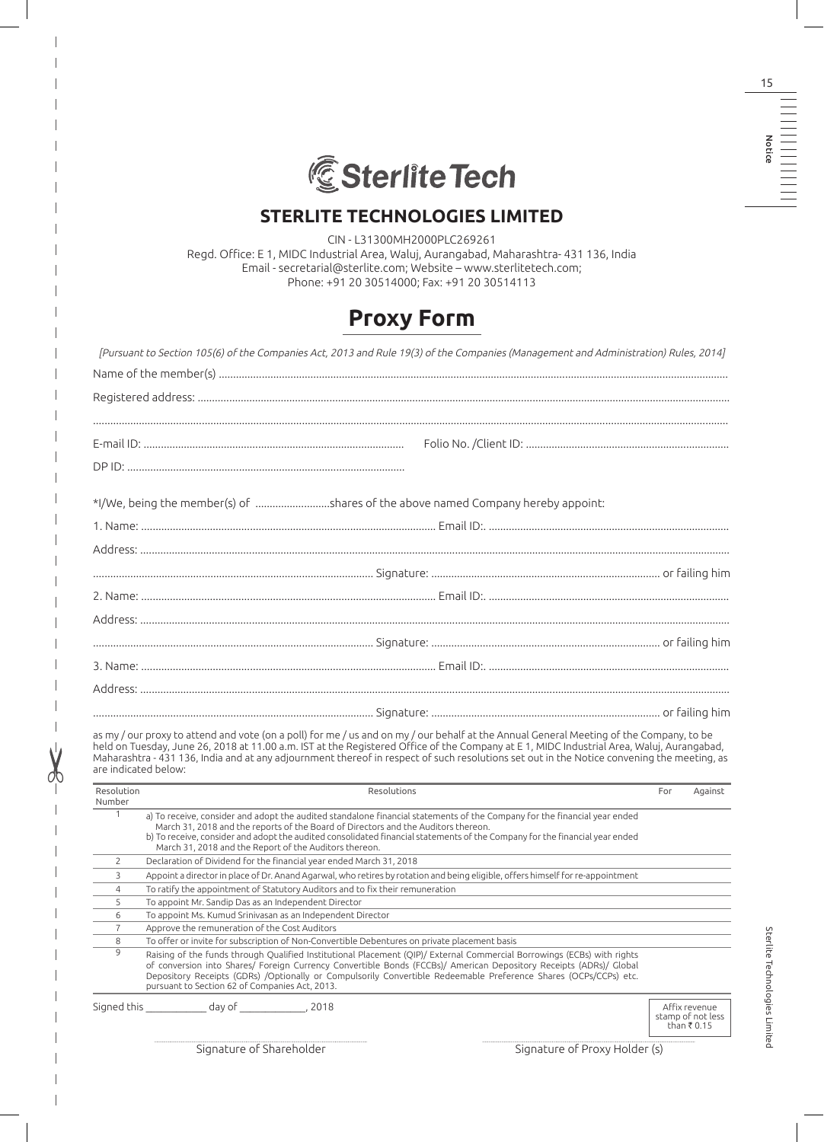

CIN - L31300MH2000PLC269261 Regd. Office: E 1, MIDC Industrial Area, Waluj, Aurangabad, Maharashtra- 431 136, India Email - secretarial@sterlite.com; Website – www.sterlitetech.com; Phone: +91 20 30514000; Fax: +91 20 30514113

# **Proxy Form**

|                | *I/We, being the member(s) of shares of the above named Company hereby appoint:                                                                                                                                                                                                                                                                                                                                                                            |     |         |
|----------------|------------------------------------------------------------------------------------------------------------------------------------------------------------------------------------------------------------------------------------------------------------------------------------------------------------------------------------------------------------------------------------------------------------------------------------------------------------|-----|---------|
|                |                                                                                                                                                                                                                                                                                                                                                                                                                                                            |     |         |
|                |                                                                                                                                                                                                                                                                                                                                                                                                                                                            |     |         |
|                |                                                                                                                                                                                                                                                                                                                                                                                                                                                            |     |         |
|                |                                                                                                                                                                                                                                                                                                                                                                                                                                                            |     |         |
|                |                                                                                                                                                                                                                                                                                                                                                                                                                                                            |     |         |
|                |                                                                                                                                                                                                                                                                                                                                                                                                                                                            |     |         |
|                |                                                                                                                                                                                                                                                                                                                                                                                                                                                            |     |         |
|                |                                                                                                                                                                                                                                                                                                                                                                                                                                                            |     |         |
|                |                                                                                                                                                                                                                                                                                                                                                                                                                                                            |     |         |
|                |                                                                                                                                                                                                                                                                                                                                                                                                                                                            |     |         |
|                |                                                                                                                                                                                                                                                                                                                                                                                                                                                            |     |         |
|                |                                                                                                                                                                                                                                                                                                                                                                                                                                                            |     |         |
|                |                                                                                                                                                                                                                                                                                                                                                                                                                                                            |     |         |
|                | as my / our proxy to attend and vote (on a poll) for me / us and on my / our behalf at the Annual General Meeting of the Company, to be<br>held on Tuesday, June 26, 2018 at 11.00 a.m. IST at the Registered Office of the Company at E 1, MIDC Industrial Area, Waluj, Aurangabad,<br>Maharashtra - 431 136, India and at any adjournment thereof in respect of such resolutions set out in the Notice convening the meeting, as<br>are indicated below: |     |         |
| Resolution     | Resolutions                                                                                                                                                                                                                                                                                                                                                                                                                                                | For | Against |
| Number<br>1    | a) To receive, consider and adopt the audited standalone financial statements of the Company for the financial year ended<br>March 31, 2018 and the reports of the Board of Directors and the Auditors thereon.<br>b) To receive, consider and adopt the audited consolidated financial statements of the Company for the financial year ended<br>March 31, 2018 and the Report of the Auditors thereon.                                                   |     |         |
| 2              | Declaration of Dividend for the financial year ended March 31, 2018                                                                                                                                                                                                                                                                                                                                                                                        |     |         |
| 3              | Appoint a director in place of Dr. Anand Agarwal, who retires by rotation and being eligible, offers himself for re-appointment                                                                                                                                                                                                                                                                                                                            |     |         |
| $\overline{4}$ | To ratify the appointment of Statutory Auditors and to fix their remuneration                                                                                                                                                                                                                                                                                                                                                                              |     |         |
| 5              | To appoint Mr. Sandip Das as an Independent Director                                                                                                                                                                                                                                                                                                                                                                                                       |     |         |
| 6              | To appoint Ms. Kumud Srinivasan as an Independent Director                                                                                                                                                                                                                                                                                                                                                                                                 |     |         |
| $\overline{7}$ | Approve the remuneration of the Cost Auditors                                                                                                                                                                                                                                                                                                                                                                                                              |     |         |
| 8              | To offer or invite for subscription of Non-Convertible Debentures on private placement basis                                                                                                                                                                                                                                                                                                                                                               |     |         |
| 9              | Raising of the funds through Qualified Institutional Placement (QIP)/ External Commercial Borrowings (ECBs) with rights<br>of conversion into Shares/ Foreign Currency Convertible Bonds (FCCBs)/ American Depository Receipts (ADRs)/ Global<br>Depository Receipts (GDRs) /Optionally or Compulsorily Convertible Redeemable Preference Shares (OCPs/CCPs) etc.<br>pursuant to Section 62 of Companies Act, 2013.                                        |     |         |

Signature of Shareholder Signature of Proxy Holder (s)